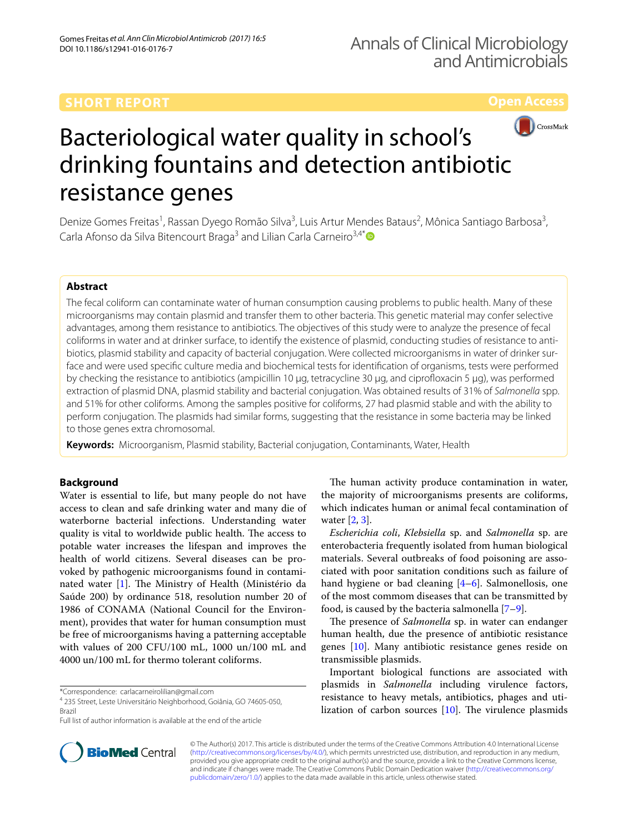**Open Access**



# Bacteriological water quality in school's drinking fountains and detection antibiotic resistance genes

Denize Gomes Freitas<sup>1</sup>, Rassan Dyego Romão Silva<sup>3</sup>, Luis Artur Mendes Bataus<sup>2</sup>, Mônica Santiago Barbosa<sup>3</sup>, Carla Afonso da Silva Bitencourt Braga<sup>3</sup> and Lilian Carla Carneiro<sup>3,4[\\*](http://orcid.org/0000-0003-4067-1506)</sup>

# **Abstract**

The fecal coliform can contaminate water of human consumption causing problems to public health. Many of these microorganisms may contain plasmid and transfer them to other bacteria. This genetic material may confer selective advantages, among them resistance to antibiotics. The objectives of this study were to analyze the presence of fecal coliforms in water and at drinker surface, to identify the existence of plasmid, conducting studies of resistance to anti‑ biotics, plasmid stability and capacity of bacterial conjugation. Were collected microorganisms in water of drinker surface and were used specific culture media and biochemical tests for identification of organisms, tests were performed by checking the resistance to antibiotics (ampicillin 10 μg, tetracycline 30 μg, and ciprofloxacin 5 μg), was performed extraction of plasmid DNA, plasmid stability and bacterial conjugation. Was obtained results of 31% of *Salmonella* spp. and 51% for other coliforms. Among the samples positive for coliforms, 27 had plasmid stable and with the ability to perform conjugation. The plasmids had similar forms, suggesting that the resistance in some bacteria may be linked to those genes extra chromosomal.

**Keywords:** Microorganism, Plasmid stability, Bacterial conjugation, Contaminants, Water, Health

# **Background**

Water is essential to life, but many people do not have access to clean and safe drinking water and many die of waterborne bacterial infections. Understanding water quality is vital to worldwide public health. The access to potable water increases the lifespan and improves the health of world citizens. Several diseases can be provoked by pathogenic microorganisms found in contaminated water [[1](#page-3-0)]. The Ministry of Health (Ministério da Saúde 200) by ordinance 518, resolution number 20 of 1986 of CONAMA (National Council for the Environment), provides that water for human consumption must be free of microorganisms having a patterning acceptable with values of 200 CFU/100 mL, 1000 un/100 mL and 4000 un/100 mL for thermo tolerant coliforms.

\*Correspondence: carlacarneirolilian@gmail.com



*Escherichia coli*, *Klebsiella* sp. and *Salmonella* sp. are enterobacteria frequently isolated from human biological materials. Several outbreaks of food poisoning are associated with poor sanitation conditions such as failure of hand hygiene or bad cleaning  $[4-6]$  $[4-6]$  $[4-6]$ . Salmonellosis, one of the most commom diseases that can be transmitted by food, is caused by the bacteria salmonella [[7](#page-3-5)[–9](#page-3-6)].

The presence of *Salmonella* sp. in water can endanger human health, due the presence of antibiotic resistance genes [\[10](#page-3-7)]. Many antibiotic resistance genes reside on transmissible plasmids.

Important biological functions are associated with plasmids in *Salmonella* including virulence factors, resistance to heavy metals, antibiotics, phages and utilization of carbon sources [[10\]](#page-3-7). The virulence plasmids



© The Author(s) 2017. This article is distributed under the terms of the Creative Commons Attribution 4.0 International License [\(http://creativecommons.org/licenses/by/4.0/\)](http://creativecommons.org/licenses/by/4.0/), which permits unrestricted use, distribution, and reproduction in any medium, provided you give appropriate credit to the original author(s) and the source, provide a link to the Creative Commons license, and indicate if changes were made. The Creative Commons Public Domain Dedication waiver ([http://creativecommons.org/](http://creativecommons.org/publicdomain/zero/1.0/) [publicdomain/zero/1.0/](http://creativecommons.org/publicdomain/zero/1.0/)) applies to the data made available in this article, unless otherwise stated.

<sup>4</sup> 235 Street, Leste Universitário Neighborhood, Goiânia, GO 74605‑050, Brazil

Full list of author information is available at the end of the article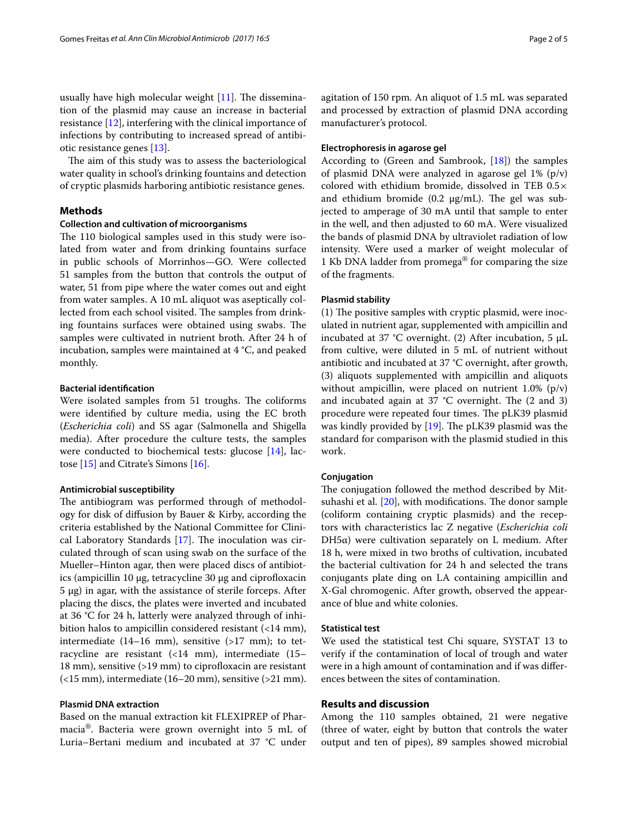usually have high molecular weight [\[11](#page-3-8)]. The dissemination of the plasmid may cause an increase in bacterial resistance [[12](#page-3-9)], interfering with the clinical importance of infections by contributing to increased spread of antibiotic resistance genes [[13\]](#page-3-10).

The aim of this study was to assess the bacteriological water quality in school's drinking fountains and detection of cryptic plasmids harboring antibiotic resistance genes.

# **Methods**

### **Collection and cultivation of microorganisms**

The 110 biological samples used in this study were isolated from water and from drinking fountains surface in public schools of Morrinhos—GO. Were collected 51 samples from the button that controls the output of water, 51 from pipe where the water comes out and eight from water samples. A 10 mL aliquot was aseptically collected from each school visited. The samples from drinking fountains surfaces were obtained using swabs. The samples were cultivated in nutrient broth. After 24 h of incubation, samples were maintained at 4 °C, and peaked monthly.

#### **Bacterial identification**

Were isolated samples from 51 troughs. The coliforms were identified by culture media, using the EC broth (*Escherichia coli*) and SS agar (Salmonella and Shigella media). After procedure the culture tests, the samples were conducted to biochemical tests: glucose [\[14](#page-3-11)], lactose [[15\]](#page-3-12) and Citrate's Simons [\[16](#page-3-13)].

#### **Antimicrobial susceptibility**

The antibiogram was performed through of methodology for disk of diffusion by Bauer & Kirby, according the criteria established by the National Committee for Clinical Laboratory Standards [[17\]](#page-3-14). The inoculation was circulated through of scan using swab on the surface of the Mueller–Hinton agar, then were placed discs of antibiotics (ampicillin 10 μg, tetracycline 30 μg and ciprofloxacin 5 μg) in agar, with the assistance of sterile forceps. After placing the discs, the plates were inverted and incubated at 36 °C for 24 h, latterly were analyzed through of inhibition halos to ampicillin considered resistant (<14 mm), intermediate (14–16 mm), sensitive  $(>17$  mm); to tetracycline are resistant (<14 mm), intermediate (15– 18 mm), sensitive (>19 mm) to ciprofloxacin are resistant (<15 mm), intermediate (16–20 mm), sensitive (>21 mm).

### **Plasmid DNA extraction**

Based on the manual extraction kit FLEXIPREP of Pharmacia®. Bacteria were grown overnight into 5 mL of Luria–Bertani medium and incubated at 37 °C under agitation of 150 rpm. An aliquot of 1.5 mL was separated and processed by extraction of plasmid DNA according manufacturer's protocol.

#### **Electrophoresis in agarose gel**

According to (Green and Sambrook, [\[18](#page-3-15)]) the samples of plasmid DNA were analyzed in agarose gel 1% (p/v) colored with ethidium bromide, dissolved in TEB  $0.5\times$ and ethidium bromide (0.2 μg/mL). The gel was subjected to amperage of 30 mA until that sample to enter in the well, and then adjusted to 60 mA. Were visualized the bands of plasmid DNA by ultraviolet radiation of low intensity. Were used a marker of weight molecular of 1 Kb DNA ladder from promega<sup>®</sup> for comparing the size of the fragments.

# **Plasmid stability**

(1) The positive samples with cryptic plasmid, were inoculated in nutrient agar, supplemented with ampicillin and incubated at 37 °C overnight. (2) After incubation, 5  $\mu$ L from cultive, were diluted in 5 mL of nutrient without antibiotic and incubated at 37 °C overnight, after growth, (3) aliquots supplemented with ampicillin and aliquots without ampicillin, were placed on nutrient  $1.0\%$  (p/v) and incubated again at 37 °C overnight. The (2 and 3) procedure were repeated four times. The pLK39 plasmid was kindly provided by [[19\]](#page-3-16). The pLK39 plasmid was the standard for comparison with the plasmid studied in this work.

#### **Conjugation**

The conjugation followed the method described by Mitsuhashi et al. [\[20\]](#page-3-17), with modifications. The donor sample (coliform containing cryptic plasmids) and the receptors with characteristics lac Z negative (*Escherichia coli* DH5 $α$ ) were cultivation separately on L medium. After 18 h, were mixed in two broths of cultivation, incubated the bacterial cultivation for 24 h and selected the trans conjugants plate ding on LA containing ampicillin and X-Gal chromogenic. After growth, observed the appearance of blue and white colonies.

# **Statistical test**

We used the statistical test Chi square, SYSTAT 13 to verify if the contamination of local of trough and water were in a high amount of contamination and if was differences between the sites of contamination.

### **Results and discussion**

Among the 110 samples obtained, 21 were negative (three of water, eight by button that controls the water output and ten of pipes), 89 samples showed microbial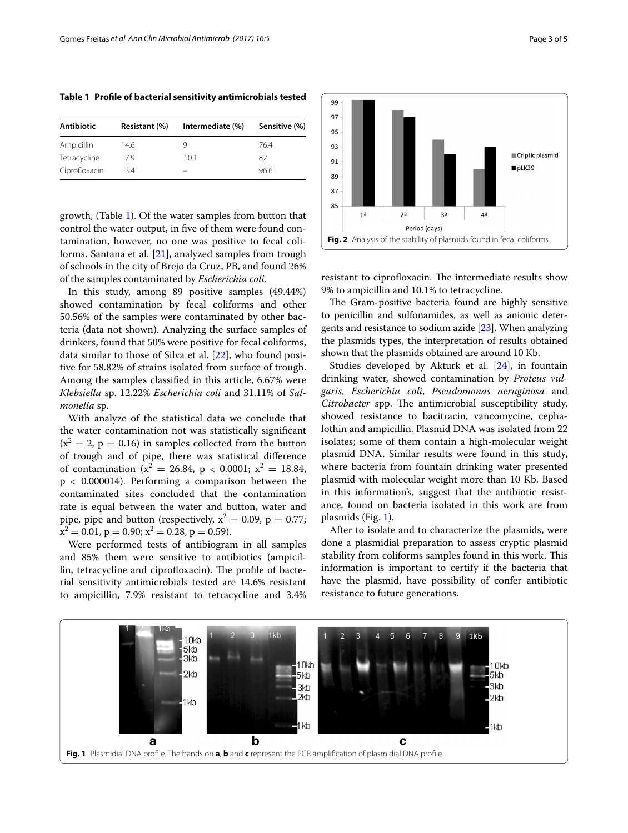<span id="page-2-0"></span>**Table 1 Profile of bacterial sensitivity antimicrobials tested**

| <b>Antibiotic</b> | Resistant (%) | Intermediate (%) | Sensitive (%) |
|-------------------|---------------|------------------|---------------|
| Ampicillin        | 14.6          | Q                | 764           |
| Tetracycline      | 79            | 10.1             | 82            |
| Ciprofloxacin     | 3.4           |                  | 96.6          |

growth, (Table [1\)](#page-2-0). Of the water samples from button that control the water output, in five of them were found contamination, however, no one was positive to fecal coliforms. Santana et al. [[21](#page-3-18)], analyzed samples from trough of schools in the city of Brejo da Cruz, PB, and found 26% of the samples contaminated by *Escherichia coli*.

In this study, among 89 positive samples (49.44%) showed contamination by fecal coliforms and other 50.56% of the samples were contaminated by other bacteria (data not shown). Analyzing the surface samples of drinkers, found that 50% were positive for fecal coliforms, data similar to those of Silva et al. [\[22](#page-4-0)], who found positive for 58.82% of strains isolated from surface of trough. Among the samples classified in this article, 6.67% were *Klebsiella* sp. 12.22% *Escherichia coli* and 31.11% of *Salmonella* sp.

With analyze of the statistical data we conclude that the water contamination not was statistically significant  $(x^2 = 2, p = 0.16)$  in samples collected from the button of trough and of pipe, there was statistical difference of contamination ( $x^2 = 26.84$ ,  $p < 0.0001$ ;  $x^2 = 18.84$ ,  $p < 0.000014$ ). Performing a comparison between the contaminated sites concluded that the contamination rate is equal between the water and button, water and pipe, pipe and button (respectively,  $x^2 = 0.09$ , p = 0.77;  $x^2 = 0.01$ ,  $p = 0.90$ ;  $x^2 = 0.28$ ,  $p = 0.59$ ).

Were performed tests of antibiogram in all samples and 85% them were sensitive to antibiotics (ampicillin, tetracycline and ciprofloxacin). The profile of bacterial sensitivity antimicrobials tested are 14.6% resistant to ampicillin, 7.9% resistant to tetracycline and 3.4%

<span id="page-2-2"></span>resistant to ciprofloxacin. The intermediate results show 9% to ampicillin and 10.1% to tetracycline.

The Gram-positive bacteria found are highly sensitive to penicillin and sulfonamides, as well as anionic detergents and resistance to sodium azide [\[23\]](#page-4-1). When analyzing the plasmids types, the interpretation of results obtained shown that the plasmids obtained are around 10 Kb.

Studies developed by Akturk et al. [\[24](#page-4-2)], in fountain drinking water, showed contamination by *Proteus vulgaris*, *Escherichia coli*, *Pseudomonas aeruginosa* and *Citrobacter* spp. The antimicrobial susceptibility study, showed resistance to bacitracin, vancomycine, cephalothin and ampicillin. Plasmid DNA was isolated from 22 isolates; some of them contain a high-molecular weight plasmid DNA. Similar results were found in this study, where bacteria from fountain drinking water presented plasmid with molecular weight more than 10 Kb. Based in this information's, suggest that the antibiotic resistance, found on bacteria isolated in this work are from plasmids (Fig. [1\)](#page-2-1).

After to isolate and to characterize the plasmids, were done a plasmidial preparation to assess cryptic plasmid stability from coliforms samples found in this work. This information is important to certify if the bacteria that have the plasmid, have possibility of confer antibiotic resistance to future generations.

<span id="page-2-1"></span>

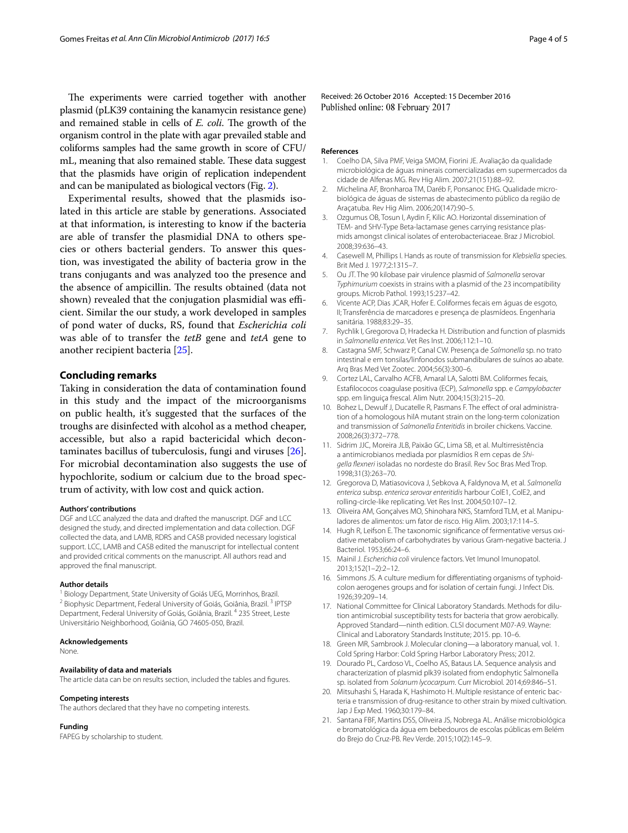The experiments were carried together with another plasmid (pLK39 containing the kanamycin resistance gene) and remained stable in cells of *E. coli*. The growth of the organism control in the plate with agar prevailed stable and coliforms samples had the same growth in score of CFU/ mL, meaning that also remained stable. These data suggest that the plasmids have origin of replication independent and can be manipulated as biological vectors (Fig. [2\)](#page-2-2).

Experimental results, showed that the plasmids isolated in this article are stable by generations. Associated at that information, is interesting to know if the bacteria are able of transfer the plasmidial DNA to others species or others bacterial genders. To answer this question, was investigated the ability of bacteria grow in the trans conjugants and was analyzed too the presence and the absence of ampicillin. The results obtained (data not shown) revealed that the conjugation plasmidial was efficient. Similar the our study, a work developed in samples of pond water of ducks, RS, found that *Escherichia coli* was able of to transfer the *tetB* gene and *tetA* gene to another recipient bacteria [[25\]](#page-4-3).

# **Concluding remarks**

Taking in consideration the data of contamination found in this study and the impact of the microorganisms on public health, it's suggested that the surfaces of the troughs are disinfected with alcohol as a method cheaper, accessible, but also a rapid bactericidal which decontaminates bacillus of tuberculosis, fungi and viruses [\[26](#page-4-4)]. For microbial decontamination also suggests the use of hypochlorite, sodium or calcium due to the broad spectrum of activity, with low cost and quick action.

#### **Authors' contributions**

DGF and LCC analyzed the data and drafted the manuscript. DGF and LCC designed the study, and directed implementation and data collection. DGF collected the data, and LAMB, RDRS and CASB provided necessary logistical support. LCC, LAMB and CASB edited the manuscript for intellectual content and provided critical comments on the manuscript. All authors read and approved the final manuscript.

#### **Author details**

<sup>1</sup> Biology Department, State University of Goiás UEG, Morrinhos, Brazil. <sup>2</sup> Biophysic Department, Federal University of Goiás, Goiânia, Brazil. <sup>3</sup> IPTSP Department, Federal University of Goiás, Goiânia, Brazil. <sup>4</sup> 235 Street, Leste Universitário Neighborhood, Goiânia, GO 74605‑050, Brazil.

#### **Acknowledgements**

None.

#### **Availability of data and materials**

The article data can be on results section, included the tables and figures.

#### **Competing interests**

The authors declared that they have no competing interests.

#### **Funding**

FAPEG by scholarship to student.

#### **References**

- <span id="page-3-0"></span>1. Coelho DA, Silva PMF, Veiga SMOM, Fiorini JE. Avaliação da qualidade microbiológica de águas minerais comercializadas em supermercados da cidade de Alfenas MG. Rev Hig Alim. 2007;21(151):88–92.
- <span id="page-3-1"></span>2. Michelina AF, Bronharoa TM, Daréb F, Ponsanoc EHG. Qualidade microbiológica de águas de sistemas de abastecimento público da região de Araçatuba. Rev Hig Alim. 2006;20(147):90–5.
- <span id="page-3-2"></span>3. Ozgumus OB, Tosun I, Aydin F, Kilic AO. Horizontal dissemination of TEM- and SHV-Type Beta-lactamase genes carrying resistance plasmids amongst clinical isolates of enterobacteriaceae. Braz J Microbiol. 2008;39:636–43.
- <span id="page-3-3"></span>4. Casewell M, Phillips I. Hands as route of transmission for *Klebsiella* species. Brit Med J. 1977;2:1315–7.
- 5. Ou JT. The 90 kilobase pair virulence plasmid of *Salmonella* serovar *Typhimurium* coexists in strains with a plasmid of the 23 incompatibility groups. Microb Pathol. 1993;15:237–42.
- <span id="page-3-4"></span>6. Vicente ACP, Dias JCAR, Hofer E. Coliformes fecais em águas de esgoto, II; Transferência de marcadores e presença de plasmídeos. Engenharia sanitária. 1988;83:29–35.
- <span id="page-3-5"></span>7. Rychlik I, Gregorova D, Hradecka H. Distribution and function of plasmids in *Salmonella enterica*. Vet Res Inst. 2006;112:1–10.
- 8. Castagna SMF, Schwarz P, Canal CW. Presença de *Salmonella* sp. no trato intestinal e em tonsilas/linfonodos submandibulares de suínos ao abate. Arq Bras Med Vet Zootec. 2004;56(3):300–6.
- <span id="page-3-6"></span>9. Cortez LAL, Carvalho ACFB, Amaral LA, Salotti BM. Coliformes fecais, Estafilococos coagulase positiva (ECP), *Salmonella* spp. e *Campylobacter* spp. em linguiça frescal. Alim Nutr. 2004;15(3):215–20.
- <span id="page-3-7"></span>10. Bohez L, Dewulf J, Ducatelle R, Pasmans F. The effect of oral administration of a homologous hilA mutant strain on the long-term colonization and transmission of *Salmonella Enteritidis* in broiler chickens. Vaccine. 2008;26(3):372–778.
- <span id="page-3-8"></span>11. Sidrim JJC, Moreira JLB, Paixão GC, Lima SB, et al. Multirresistência a antimicrobianos mediada por plasmídios R em cepas de *Shigella flexneri* isoladas no nordeste do Brasil. Rev Soc Bras Med Trop. 1998;31(3):263–70.
- <span id="page-3-9"></span>12. Gregorova D, Matiasovicova J, Sebkova A, Faldynova M, et al. *Salmonella enterica* subsp. *enterica serovar enteritidis* harbour ColE1, ColE2, and rolling-circle-like replicating. Vet Res Inst. 2004;50:107–12.
- <span id="page-3-10"></span>13. Oliveira AM, Gonçalves MO, Shinohara NKS, Stamford TLM, et al. Manipuladores de alimentos: um fator de risco. Hig Alim. 2003;17:114–5.
- <span id="page-3-11"></span>14. Hugh R, Leifson E. The taxonomic significance of fermentative versus oxidative metabolism of carbohydrates by various Gram-negative bacteria. J Bacteriol. 1953;66:24–6.
- <span id="page-3-12"></span>15. Mainil J. *Escherichia coli* virulence factors. Vet Imunol Imunopatol. 2013;152(1–2):2–12.
- <span id="page-3-13"></span>16. Simmons JS. A culture medium for differentiating organisms of typhoidcolon aerogenes groups and for isolation of certain fungi. J Infect Dis. 1926;39:209–14.
- <span id="page-3-14"></span>17. National Committee for Clinical Laboratory Standards. Methods for dilution antimicrobial susceptibility tests for bacteria that grow aerobically. Approved Standard—ninth edition. CLSI document M07-A9. Wayne: Clinical and Laboratory Standards Institute; 2015. pp. 10–6.
- <span id="page-3-15"></span>18. Green MR, Sambrook J. Molecular cloning—a laboratory manual, vol. 1. Cold Spring Harbor: Cold Spring Harbor Laboratory Press; 2012.
- <span id="page-3-16"></span>19. Dourado PL, Cardoso VL, Coelho AS, Bataus LA. Sequence analysis and characterization of plasmid plk39 isolated from endophytic Salmonella sp. isolated from *Solanum lycocarpum*. Curr Microbiol. 2014;69:846–51.
- <span id="page-3-17"></span>20. Mitsuhashi S, Harada K, Hashimoto H. Multiple resistance of enteric bacteria e transmission of drug-resitance to other strain by mixed cultivation. Jap J Exp Med. 1960;30:179–84.
- <span id="page-3-18"></span>21. Santana FBF, Martins DSS, Oliveira JS, Nobrega AL. Análise microbiológica e bromatológica da água em bebedouros de escolas públicas em Belém do Brejo do Cruz-PB. Rev Verde. 2015;10(2):145–9.